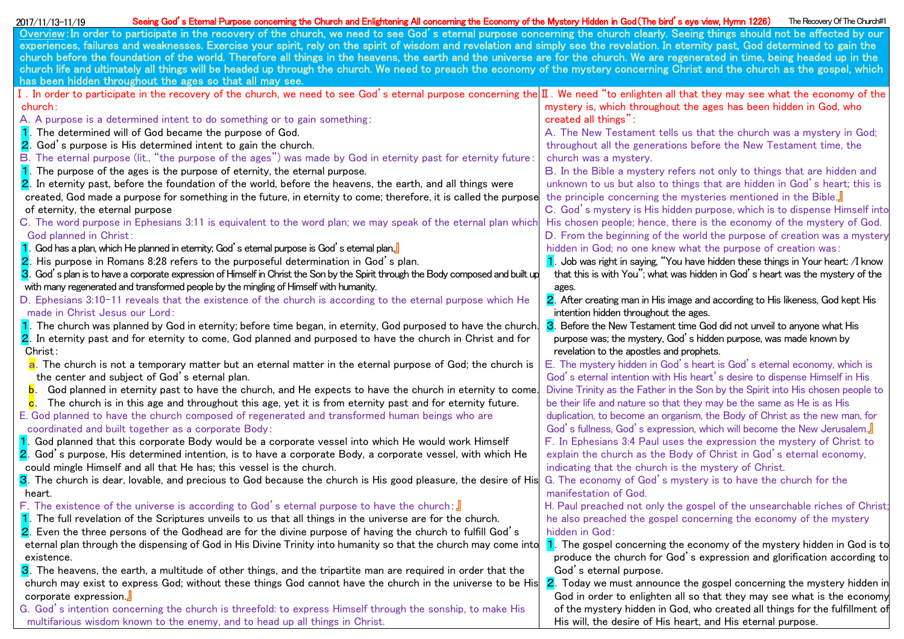| Seeing God's Eternal Purpose concerning the Church and Enlightening All concerning the Economy of the Mystery Hidden in God (The bird's eye view, Hymn 1226)<br>2017/11/13-11/19        | The Recovery Of The Church#1                                                             |
|-----------------------------------------------------------------------------------------------------------------------------------------------------------------------------------------|------------------------------------------------------------------------------------------|
| Overview: In order to participate in the recovery of the church, we need to see God's eternal purpose concerning the church clearly. Seeing things should not be affected by our        |                                                                                          |
| experiences, failures and weaknesses. Exercise your spirit, rely on the spirit of wisdom and revelation and simply see the revelation. In eternity past, God determined to gain the     |                                                                                          |
| church before the foundation of the world. Therefore all things in the heavens, the earth and the universe are for the church. We are regenerated in time, being headed up in the       |                                                                                          |
| church life and ultimately all things will be headed up through the church. We need to preach the economy of the mystery concerning Christ and the church as the gospel, which          |                                                                                          |
| has been hidden throughout the ages so that all may see.                                                                                                                                |                                                                                          |
| I. In order to participate in the recovery of the church, we need to see God's eternal purpose concerning the II. We need "to enlighten all that they may see what the economy of the   |                                                                                          |
| church:                                                                                                                                                                                 | mystery is, which throughout the ages has been hidden in God, who                        |
| A. A purpose is a determined intent to do something or to gain something:                                                                                                               | created all things":                                                                     |
| The determined will of God became the purpose of God.                                                                                                                                   | A. The New Testament tells us that the church was a mystery in God;                      |
| God's purpose is His determined intent to gain the church.                                                                                                                              | throughout all the generations before the New Testament time, the                        |
| B. The eternal purpose (lit., "the purpose of the ages") was made by God in eternity past for eternity future:                                                                          | church was a mystery.                                                                    |
| The purpose of the ages is the purpose of eternity, the eternal purpose.                                                                                                                | B. In the Bible a mystery refers not only to things that are hidden and                  |
| 2. In eternity past, before the foundation of the world, before the heavens, the earth, and all things were                                                                             | unknown to us but also to things that are hidden in God's heart; this is                 |
| created, God made a purpose for something in the future, in eternity to come; therefore, it is called the purpose                                                                       | the principle concerning the mysteries mentioned in the Bible.                           |
| of eternity, the eternal purpose                                                                                                                                                        | C. God's mystery is His hidden purpose, which is to dispense Himself into                |
| C. The word purpose in Ephesians 3:11 is equivalent to the word plan; we may speak of the eternal plan which                                                                            | His chosen people; hence, there is the economy of the mystery of God.                    |
| God planned in Christ:                                                                                                                                                                  | D. From the beginning of the world the purpose of creation was a mystery                 |
| God has a plan, which He planned in eternity; God's eternal purpose is God's eternal plan.                                                                                              | hidden in God; no one knew what the purpose of creation was:                             |
| His purpose in Romans 8:28 refers to the purposeful determination in God's plan.                                                                                                        | $\vert$ 1. Job was right in saying, "You have hidden these things in Your heart: /I know |
| God's plan is to have a corporate expression of Himself in Christ the Son by the Spirit through the Body composed and built up                                                          | that this is with You"; what was hidden in God's heart was the mystery of the            |
| with many regenerated and transformed people by the mingling of Himself with humanity.                                                                                                  | ages.                                                                                    |
| D. Ephesians 3:10-11 reveals that the existence of the church is according to the eternal purpose which He                                                                              | 2. After creating man in His image and according to His likeness, God kept His           |
| made in Christ Jesus our Lord:                                                                                                                                                          | intention hidden throughout the ages.                                                    |
| The church was planned by God in eternity; before time began, in eternity, God purposed to have the church.                                                                             | 3. Before the New Testament time God did not unveil to anyone what His                   |
| 2. In eternity past and for eternity to come, God planned and purposed to have the church in Christ and for                                                                             | purpose was; the mystery, God's hidden purpose, was made known by                        |
| Christ:                                                                                                                                                                                 | revelation to the apostles and prophets.                                                 |
| a. The church is not a temporary matter but an eternal matter in the eternal purpose of God; the church is                                                                              | E. The mystery hidden in God's heart is God's eternal economy, which is                  |
| the center and subject of God's eternal plan.                                                                                                                                           | God's eternal intention with His heart's desire to dispense Himself in His               |
|                                                                                                                                                                                         |                                                                                          |
| God planned in eternity past to have the church, and He expects to have the church in eternity to come.<br>b.                                                                           | Divine Trinity as the Father in the Son by the Spirit into His chosen people to          |
| The church is in this age and throughout this age, yet it is from eternity past and for eternity future.                                                                                | be their life and nature so that they may be the same as He is as His                    |
| E. God planned to have the church composed of regenerated and transformed human beings who are                                                                                          | duplication, to become an organism, the Body of Christ as the new man, for               |
| coordinated and built together as a corporate Body:                                                                                                                                     | God's fullness, God's expression, which will become the New Jerusalem.                   |
| 1. God planned that this corporate Body would be a corporate vessel into which He would work Himself                                                                                    | F. In Ephesians 3:4 Paul uses the expression the mystery of Christ to                    |
| 2. God's purpose, His determined intention, is to have a corporate Body, a corporate vessel, with which He                                                                              | explain the church as the Body of Christ in God's eternal economy,                       |
| could mingle Himself and all that He has; this vessel is the church.                                                                                                                    | indicating that the church is the mystery of Christ.                                     |
| 3. The church is dear, lovable, and precious to God because the church is His good pleasure, the desire of His G. The economy of God's mystery is to have the church for the            |                                                                                          |
| heart.                                                                                                                                                                                  | manifestation of God.                                                                    |
| F. The existence of the universe is according to God's eternal purpose to have the church: $\mathbf{J}$                                                                                 | H. Paul preached not only the gospel of the unsearchable riches of Christ;               |
| The full revelation of the Scriptures unveils to us that all things in the universe are for the church.                                                                                 | he also preached the gospel concerning the economy of the mystery                        |
| 2. Even the three persons of the Godhead are for the divine purpose of having the church to fulfill God's                                                                               | hidden in God:                                                                           |
| eternal plan through the dispensing of God in His Divine Trinity into humanity so that the church may come into 1. The gospel concerning the economy of the mystery hidden in God is to |                                                                                          |
| existence.                                                                                                                                                                              | produce the church for God's expression and glorification according to                   |
| 3. The heavens, the earth, a multitude of other things, and the tripartite man are required in order that the                                                                           | God's eternal purpose.                                                                   |
| church may exist to express God; without these things God cannot have the church in the universe to be His                                                                              | 2. Today we must announce the gospel concerning the mystery hidden in                    |
| corporate expression.                                                                                                                                                                   | God in order to enlighten all so that they may see what is the economy                   |
| G. God's intention concerning the church is threefold: to express Himself through the sonship, to make His                                                                              | of the mystery hidden in God, who created all things for the fulfillment of              |
| multifarious wisdom known to the enemy, and to head up all things in Christ.                                                                                                            | His will, the desire of His heart, and His eternal purpose.                              |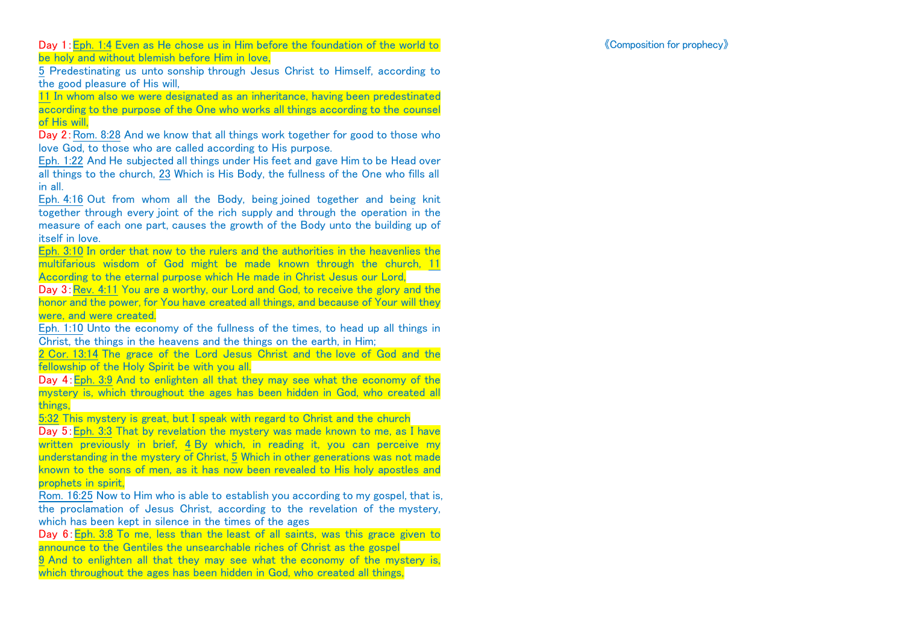Day 1: Eph. 1:4 Even as He chose us in Him before the foundation of the world to be holy and without blemish before Him in love,

5 Predestinating us unto sonship through Jesus Christ to Himself, according to the good pleasure of His will,

11 In whom also we were designated as an inheritance, having been predestinated according to the purpose of the One who works all things according to the counsel of His will,

Day 2:Rom. 8:28 And we know that all things work together for good to those who love God, to those who are called according to His purpose.

Eph. 1:22 And He subjected all things under His feet and gave Him to be Head over all things to the church, 23 Which is His Body, the fullness of the One who fills all in all.

Eph. 4:16 Out from whom all the Body, being joined together and being knit together through every joint of the rich supply and through the operation in the measure of each one part, causes the growth of the Body unto the building up of itself in love.

Eph. 3:10 In order that now to the rulers and the authorities in the heavenlies the multifarious wisdom of God might be made known through the church, 11 According to the eternal purpose which He made in Christ Jesus our Lord,

Day 3:Rev. 4:11 You are a worthy, our Lord and God, to receive the glory and the honor and the power, for You have created all things, and because of Your will they were, and were created.

Eph. 1:10 Unto the economy of the fullness of the times, to head up all things in Christ, the things in the heavens and the things on the earth, in Him;

2 Cor. 13:14 The grace of the Lord Jesus Christ and the love of God and the fellowship of the Holy Spirit be with you all.

Day 4:Eph. 3:9 And to enlighten all that they may see what the economy of the mystery is, which throughout the ages has been hidden in God, who created all things,

5:32 This mystery is great, but I speak with regard to Christ and the church

Day 5:Eph. 3:3 That by revelation the mystery was made known to me, as I have written previously in brief, 4 By which, in reading it, you can perceive my understanding in the mystery of Christ, 5 Which in other generations was not made known to the sons of men, as it has now been revealed to His holy apostles and prophets in spirit.

Rom. 16:25 Now to Him who is able to establish you according to my gospel, that is, the proclamation of Jesus Christ, according to the revelation of the mystery, which has been kept in silence in the times of the ages

Day 6: Eph. 3:8 To me, less than the least of all saints, was this grace given to announce to the Gentiles the unsearchable riches of Christ as the gospel 9 And to enlighten all that they may see what the economy of the mystery is, which throughout the ages has been hidden in God, who created all things.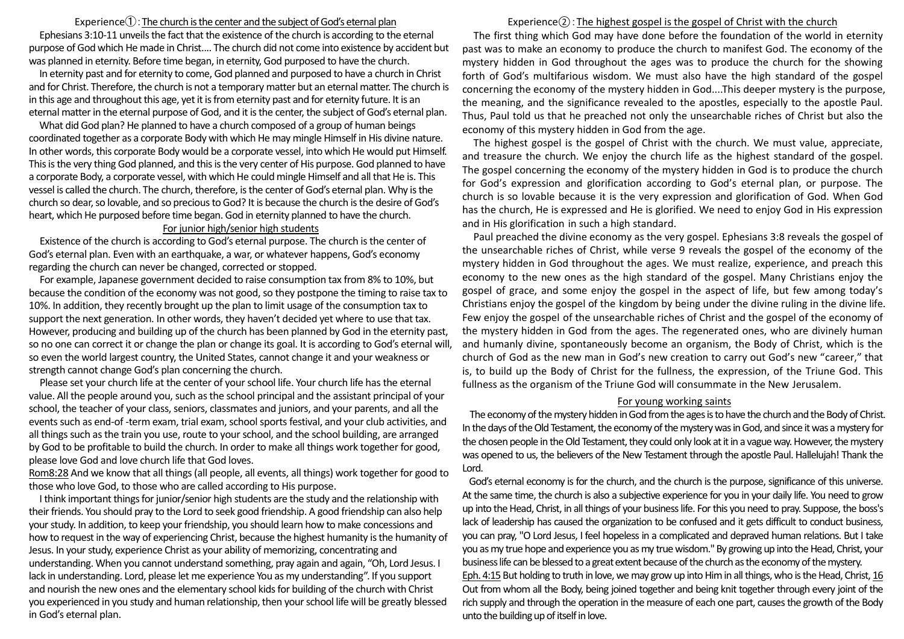## Experience $\left(1\right)$ : The church is the center and the subject of God's eternal plan

Ephesians 3:10-11 unveils the fact that the existence of the church is according to the eternal purpose of God which He made in Christ.... The church did not come into existence by accident but was planned in eternity. Before time began, in eternity, God purposed to have the church.

In eternity past and for eternity to come, God planned and purposed to have a church in Christ and for Christ. Therefore, the church is not a temporary matter but an eternal matter. The church is in this age and throughout this age, yet it is from eternity past and for eternity future. It is an eternal matter in the eternal purpose of God, and it is the center, the subject of God's eternal plan.

What did God plan? He planned to have a church composed of a group of human beings coordinated together as a corporate Body with which He may mingle Himself in His divine nature. In other words, this corporate Body would be a corporate vessel, into which He would put Himself. This is the very thing God planned, and this is the very center of His purpose. God planned to have a corporate Body, a corporate vessel, with which He could mingle Himself and all that He is. This vessel is called the church. The church, therefore, is the center of God's eternal plan. Why is the church so dear, so lovable, and so precious to God? It is because the church is the desire of God's heart, which He purposed before time began. God in eternity planned to have the church.

## For junior high/senior high students

Existence of the church is according to God's eternal purpose. The church is the center of God's eternal plan. Even with an earthquake, a war, or whatever happens, God's economy regarding the church can never be changed, corrected or stopped.

For example, Japanese government decided to raise consumption tax from 8% to 10%, but because the condition of the economy was not good, so they postpone the timing to raise tax to 10%. In addition, they recently brought up the plan to limit usage of the consumption tax to support the next generation. In other words, they haven't decided yet where to use that tax. However, producing and building up of the church has been planned by God in the eternity past, so no one can correct it or change the plan or change its goal. It is according to God's eternal will, so even the world largest country, the United States, cannot change it and your weakness or strength cannot change God's plan concerning the church.

Please set your church life at the center of your school life. Your church life has the eternal value. All the people around you, such as the school principal and the assistant principal of your school, the teacher of your class, seniors, classmates and juniors, and your parents, and all the events such as end-of -term exam, trial exam, school sports festival, and your club activities, and all thingssuch as the train you use, route to your school, and the school building, are arranged by God to be profitable to build the church. In order to make all things work together for good, please love God and love church life that God loves.

Rom8:28 And we know that all things (all people, all events, all things) work together for good to those who love God, to those who are called according to His purpose.

I think important things for junior/senior high students are the study and the relationship with their friends. You should pray to the Lord to seek good friendship. A good friendship can also help your study. In addition, to keep your friendship, you should learn how to make concessions and how to request in the way of experiencing Christ, because the highest humanity is the humanity of Jesus. In your study, experience Christ as your ability of memorizing, concentrating and understanding. When you cannot understand something, pray again and again, "Oh, Lord Jesus. I lack in understanding. Lord, please let me experience You as my understanding". If you support and nourish the new ones and the elementary school kids for building of the church with Christ you experienced in you study and human relationship, then your school life will be greatly blessed in God's eternal plan.

## Experience $(2)$ : The highest gospel is the gospel of Christ with the church

The first thing which God may have done before the foundation of the world in eternity past was to make an economy to produce the church to manifest God. The economy of the mystery hidden in God throughout the ages was to produce the church for the showing forth of God's multifarious wisdom. We must also have the high standard of the gospel concerning the economy of the mystery hidden in God....This deeper mystery is the purpose, the meaning, and the significance revealed to the apostles, especially to the apostle Paul. Thus, Paul told us that he preached not only the unsearchable riches of Christ but also the economy of this mystery hidden in God from the age.

The highest gospel is the gospel of Christ with the church. We must value, appreciate, and treasure the church. We enjoy the church life as the highest standard of the gospel. The gospel concerning the economy of the mystery hidden in God is to produce the church for God's expression and glorification according to God's eternal plan, or purpose. The church is so lovable because it is the very expression and glorification of God. When God has the church, He is expressed and He is glorified. We need to enjoy God in His expression and in His glorification in such a high standard.

Paul preached the divine economy as the very gospel. Ephesians 3:8 reveals the gospel of the unsearchable riches of Christ, while verse 9 reveals the gospel of the economy of the mystery hidden in God throughout the ages. We must realize, experience, and preach this economy to the new ones as the high standard of the gospel. Many Christians enjoy the gospel of grace, and some enjoy the gospel in the aspect of life, but few among today's Christians enjoy the gospel of the kingdom by being under the divine ruling in the divine life. Few enjoy the gospel of the unsearchable riches of Christ and the gospel of the economy of the mystery hidden in God from the ages. The regenerated ones, who are divinely human and humanly divine, spontaneously become an organism, the Body of Christ, which is the church of God as the new man in God's new creation to carry out God's new "career," that is, to build up the Body of Christ for the fullness, the expression, of the Triune God. This fullness as the organism of the Triune God will consummate in the New Jerusalem.

## For young working saints

The economy of the mystery hidden in God from the ages is to have the church and the Body of Christ. In the days of the Old Testament, the economy of the mystery was in God, and since it was a mystery for the chosen people in the Old Testament, they could only look at it in a vague way. However, the mystery was opened to us, the believers of the New Testament through the apostle Paul. Hallelujah! Thank the Lord.

God's eternal economy is for the church, and the church is the purpose, significance of this universe. At the same time, the church is also a subjective experience for you in your daily life. You need to grow up into the Head, Christ, in all things of your business life. For this you need to pray. Suppose, the boss's lack of leadership has caused the organization to be confused and it gets difficult to conduct business, you can pray, "O Lord Jesus, I feel hopeless in a complicated and depraved human relations. But I take you as my true hope and experience you as my true wisdom." By growing up into the Head, Christ, your business life can be blessed to a great extent because of the church asthe economy of the mystery. Eph. 4:15 But holding to truth in love, we may grow up into Him in all things, who is the Head, Christ, 16 Out from whom all the Body, being joined together and being knit together through every joint of the rich supply and through the operation in the measure of each one part, causes the growth of the Body unto the building up of itself in love.